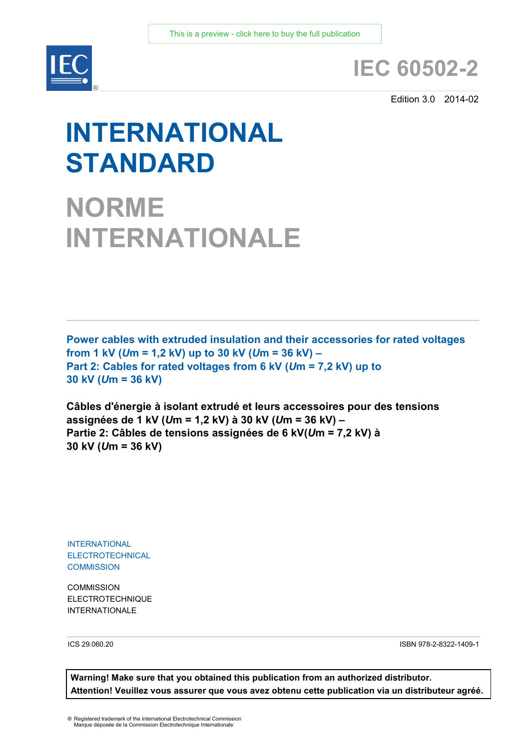

## **IEC 60502-2**

Edition 3.0 2014-02

# **INTERNATIONAL STANDARD**

**NORME INTERNATIONALE**

**Power cables with extruded insulation and their accessories for rated voltages from 1 kV (***U***m = 1,2 kV) up to 30 kV (***U***m = 36 kV) – Part 2: Cables for rated voltages from 6 kV (***U***m = 7,2 kV) up to 30 kV (***U***m = 36 kV)**

**Câbles d'énergie à isolant extrudé et leurs accessoires pour des tensions assignées de 1 kV (***U***m = 1,2 kV) à 30 kV (***U***m = 36 kV) – Partie 2: Câbles de tensions assignées de 6 kV(***U***m = 7,2 kV) à 30 kV (***U***m = 36 kV)**

INTERNATIONAL ELECTROTECHNICAL **COMMISSION** 

**COMMISSION** ELECTROTECHNIQUE **INTERNATIONALE** 

ICS 29.060.20

ISBN 978-2-8322-1409-1

**Warning! Make sure that you obtained this publication from an authorized distributor. Attention! Veuillez vous assurer que vous avez obtenu cette publication via un distributeur agréé.**

® Registered trademark of the International Electrotechnical Commission Marque déposée de la Commission Electrotechnique Internationale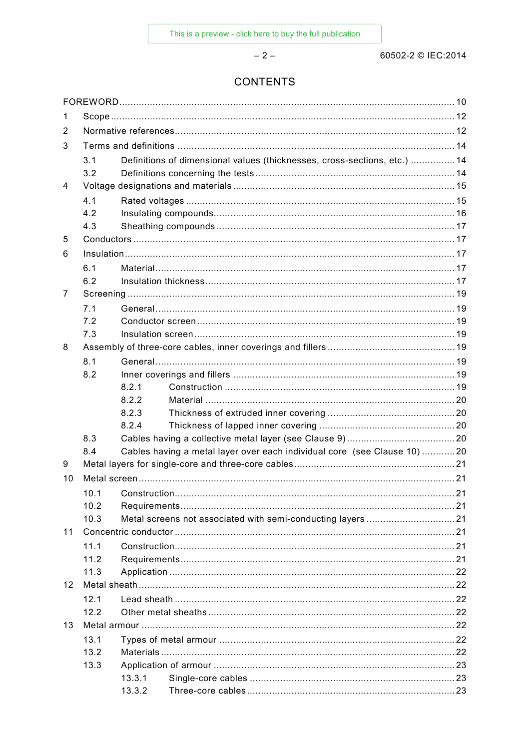$-2-$ 

### **CONTENTS**

| 1                 |      |                   |                                                                           |    |  |
|-------------------|------|-------------------|---------------------------------------------------------------------------|----|--|
| 2                 |      |                   |                                                                           |    |  |
| 3                 |      |                   |                                                                           |    |  |
|                   | 3.1  |                   | Definitions of dimensional values (thicknesses, cross-sections, etc.)  14 |    |  |
|                   | 3.2  |                   |                                                                           |    |  |
| 4                 |      |                   |                                                                           |    |  |
|                   | 4.1  |                   |                                                                           |    |  |
|                   | 4.2  |                   |                                                                           |    |  |
|                   | 4.3  |                   |                                                                           |    |  |
| 5                 |      |                   |                                                                           |    |  |
| 6                 |      |                   |                                                                           |    |  |
|                   | 6.1  |                   |                                                                           |    |  |
|                   | 6.2  |                   |                                                                           |    |  |
| 7                 |      |                   |                                                                           |    |  |
|                   | 7.1  |                   |                                                                           |    |  |
|                   | 7.2  |                   |                                                                           |    |  |
|                   | 7.3  |                   |                                                                           |    |  |
| 8                 |      |                   |                                                                           |    |  |
|                   | 8.1  |                   |                                                                           |    |  |
|                   | 8.2  |                   |                                                                           |    |  |
|                   |      | 8.2.1             |                                                                           |    |  |
|                   |      | 8.2.2<br>8.2.3    |                                                                           |    |  |
|                   |      | 8.2.4             |                                                                           |    |  |
|                   | 8.3  |                   |                                                                           |    |  |
|                   | 8.4  |                   | Cables having a metal layer over each individual core (see Clause 10) 20  |    |  |
| 9                 |      |                   |                                                                           |    |  |
| 10                |      |                   |                                                                           |    |  |
|                   |      | 10.1 Construction |                                                                           | 21 |  |
|                   | 10.2 |                   |                                                                           |    |  |
|                   | 10.3 |                   |                                                                           |    |  |
| 11                |      |                   |                                                                           |    |  |
|                   | 11.1 |                   |                                                                           |    |  |
|                   | 11.2 |                   |                                                                           |    |  |
|                   | 11.3 |                   |                                                                           |    |  |
| $12 \overline{ }$ |      |                   |                                                                           |    |  |
|                   | 12.1 |                   |                                                                           |    |  |
|                   | 12.2 |                   |                                                                           |    |  |
| 13                |      |                   |                                                                           |    |  |
|                   | 13.1 |                   |                                                                           |    |  |
|                   | 13.2 |                   |                                                                           |    |  |
|                   | 13.3 |                   |                                                                           |    |  |
|                   |      | 13.3.1            |                                                                           |    |  |
|                   |      | 13.3.2            |                                                                           |    |  |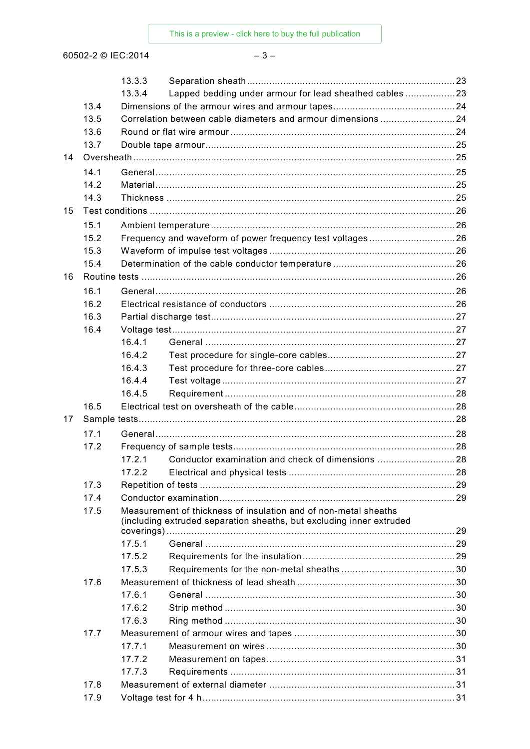60502-2 © IEC:2014

 $-3-$ 

|    |      | 13.3.3                                                                                                                                  |                                                              |  |  |  |
|----|------|-----------------------------------------------------------------------------------------------------------------------------------------|--------------------------------------------------------------|--|--|--|
|    |      | 13.3.4                                                                                                                                  | Lapped bedding under armour for lead sheathed cables 23      |  |  |  |
|    | 13.4 |                                                                                                                                         |                                                              |  |  |  |
|    | 13.5 |                                                                                                                                         | Correlation between cable diameters and armour dimensions 24 |  |  |  |
|    | 13.6 |                                                                                                                                         |                                                              |  |  |  |
|    | 13.7 |                                                                                                                                         |                                                              |  |  |  |
| 14 |      |                                                                                                                                         |                                                              |  |  |  |
|    | 14.1 |                                                                                                                                         |                                                              |  |  |  |
|    | 14.2 |                                                                                                                                         |                                                              |  |  |  |
|    | 14.3 |                                                                                                                                         |                                                              |  |  |  |
| 15 |      |                                                                                                                                         |                                                              |  |  |  |
|    | 15.1 |                                                                                                                                         |                                                              |  |  |  |
|    | 15.2 |                                                                                                                                         | Frequency and waveform of power frequency test voltages26    |  |  |  |
|    | 15.3 |                                                                                                                                         |                                                              |  |  |  |
|    | 15.4 |                                                                                                                                         |                                                              |  |  |  |
| 16 |      |                                                                                                                                         |                                                              |  |  |  |
|    | 16.1 |                                                                                                                                         |                                                              |  |  |  |
|    | 16.2 |                                                                                                                                         |                                                              |  |  |  |
|    | 16.3 |                                                                                                                                         |                                                              |  |  |  |
|    | 16.4 |                                                                                                                                         |                                                              |  |  |  |
|    |      | 16.4.1                                                                                                                                  |                                                              |  |  |  |
|    |      | 16.4.2                                                                                                                                  |                                                              |  |  |  |
|    |      | 16.4.3                                                                                                                                  |                                                              |  |  |  |
|    |      | 16.4.4                                                                                                                                  |                                                              |  |  |  |
|    |      | 16.4.5                                                                                                                                  |                                                              |  |  |  |
|    | 16.5 |                                                                                                                                         |                                                              |  |  |  |
| 17 |      |                                                                                                                                         |                                                              |  |  |  |
|    | 17.1 |                                                                                                                                         |                                                              |  |  |  |
|    | 17.2 |                                                                                                                                         |                                                              |  |  |  |
|    |      | 17.2.1                                                                                                                                  |                                                              |  |  |  |
|    |      | 17.2.2                                                                                                                                  |                                                              |  |  |  |
|    | 17.3 |                                                                                                                                         |                                                              |  |  |  |
|    | 17.4 |                                                                                                                                         |                                                              |  |  |  |
|    | 17.5 | Measurement of thickness of insulation and of non-metal sheaths<br>(including extruded separation sheaths, but excluding inner extruded |                                                              |  |  |  |
|    |      |                                                                                                                                         |                                                              |  |  |  |
|    |      | 17.5.1                                                                                                                                  |                                                              |  |  |  |
|    |      | 17.5.2                                                                                                                                  |                                                              |  |  |  |
|    |      | 17.5.3                                                                                                                                  |                                                              |  |  |  |
|    | 17.6 |                                                                                                                                         |                                                              |  |  |  |
|    |      | 17.6.1                                                                                                                                  |                                                              |  |  |  |
|    |      | 17.6.2                                                                                                                                  |                                                              |  |  |  |
|    |      | 17.6.3                                                                                                                                  |                                                              |  |  |  |
|    | 17.7 |                                                                                                                                         |                                                              |  |  |  |
|    |      | 17.7.1                                                                                                                                  |                                                              |  |  |  |
|    |      | 17.7.2                                                                                                                                  |                                                              |  |  |  |
|    |      | 17.7.3                                                                                                                                  |                                                              |  |  |  |
|    | 17.8 |                                                                                                                                         |                                                              |  |  |  |
|    | 17.9 |                                                                                                                                         |                                                              |  |  |  |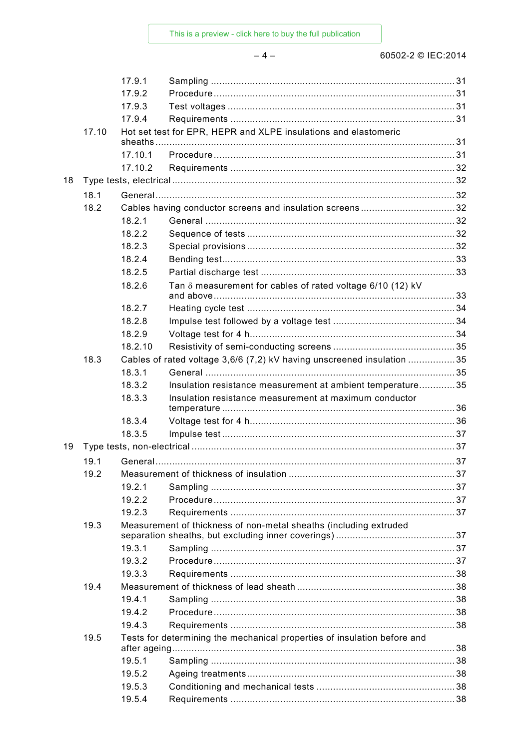This is a preview - click here to buy the full publication

### 60502-2 © IEC:2014

|    |       | 17.9.1        |                                                                          |  |
|----|-------|---------------|--------------------------------------------------------------------------|--|
|    |       | 17.9.2        |                                                                          |  |
|    |       | 17.9.3        |                                                                          |  |
|    |       | 17.9.4        |                                                                          |  |
|    | 17.10 |               | Hot set test for EPR, HEPR and XLPE insulations and elastomeric          |  |
|    |       | sheaths       |                                                                          |  |
|    |       | 17.10.1       |                                                                          |  |
|    |       | 17.10.2       |                                                                          |  |
| 18 |       |               |                                                                          |  |
|    | 18.1  |               |                                                                          |  |
|    | 18.2  |               | Cables having conductor screens and insulation screens32                 |  |
|    |       | 18.2.1        |                                                                          |  |
|    |       | 18.2.2        |                                                                          |  |
|    |       | 18.2.3        |                                                                          |  |
|    |       | 18.2.4        |                                                                          |  |
|    |       | 18.2.5        |                                                                          |  |
|    |       | 18.2.6        | Tan $\delta$ measurement for cables of rated voltage 6/10 (12) kV        |  |
|    |       | 18.2.7        |                                                                          |  |
|    |       | 18.2.8        |                                                                          |  |
|    |       | 18.2.9        |                                                                          |  |
|    |       | 18.2.10       |                                                                          |  |
|    | 18.3  |               | Cables of rated voltage 3,6/6 (7,2) kV having unscreened insulation 35   |  |
|    |       | 18.3.1        |                                                                          |  |
|    |       | 18.3.2        | Insulation resistance measurement at ambient temperature 35              |  |
|    |       | 18.3.3        | Insulation resistance measurement at maximum conductor                   |  |
|    |       |               |                                                                          |  |
|    |       | 18.3.4        |                                                                          |  |
|    |       | 18.3.5        |                                                                          |  |
| 19 |       |               |                                                                          |  |
|    | 19.1  |               |                                                                          |  |
|    | 19.2  |               |                                                                          |  |
|    |       | 19.2.1        |                                                                          |  |
|    |       | 19.2.2        |                                                                          |  |
|    |       | 19.2.3        |                                                                          |  |
|    | 19.3  |               | Measurement of thickness of non-metal sheaths (including extruded        |  |
|    |       | 19.3.1        |                                                                          |  |
|    |       | 19.3.2        |                                                                          |  |
|    |       | 19.3.3        |                                                                          |  |
|    | 19.4  |               |                                                                          |  |
|    |       | 19.4.1        |                                                                          |  |
|    |       | 19.4.2        |                                                                          |  |
|    |       | 19.4.3        |                                                                          |  |
|    | 19.5  |               | Tests for determining the mechanical properties of insulation before and |  |
|    |       | after ageing. |                                                                          |  |
|    |       | 19.5.1        |                                                                          |  |
|    |       | 19.5.2        |                                                                          |  |
|    |       | 19.5.3        |                                                                          |  |
|    |       | 19.5.4        |                                                                          |  |

### $-4-$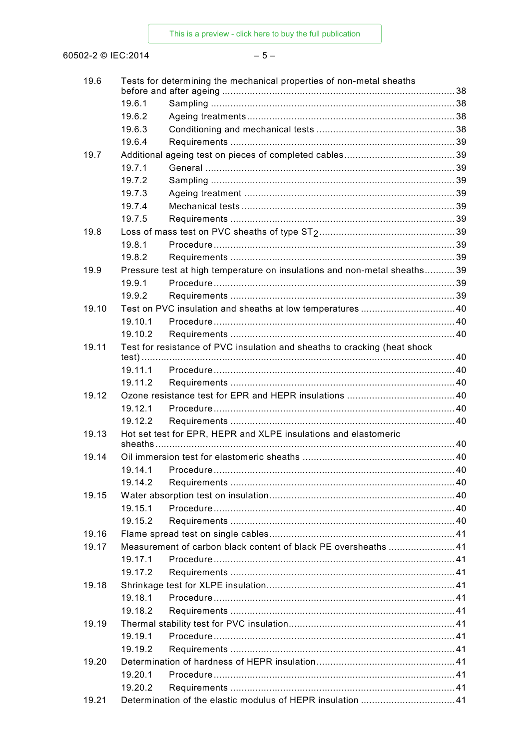This is a preview - click here to buy the full publication

60502-2 © IEC:2014

### $-5-$

| 19.6  |         | Tests for determining the mechanical properties of non-metal sheaths      |  |
|-------|---------|---------------------------------------------------------------------------|--|
|       | 19.6.1  |                                                                           |  |
|       | 19.6.2  |                                                                           |  |
|       | 19.6.3  |                                                                           |  |
|       | 19.6.4  |                                                                           |  |
| 19.7  |         |                                                                           |  |
|       | 19.7.1  |                                                                           |  |
|       | 19.7.2  |                                                                           |  |
|       | 19.7.3  |                                                                           |  |
|       | 19.7.4  |                                                                           |  |
|       |         |                                                                           |  |
| 19.8  | 19.7.5  |                                                                           |  |
|       |         |                                                                           |  |
|       | 19.8.1  |                                                                           |  |
|       | 19.8.2  |                                                                           |  |
| 19.9  |         | Pressure test at high temperature on insulations and non-metal sheaths39  |  |
|       | 19.9.1  |                                                                           |  |
|       | 19.9.2  |                                                                           |  |
| 19.10 |         |                                                                           |  |
|       | 19.10.1 |                                                                           |  |
|       | 19.10.2 |                                                                           |  |
| 19.11 |         | Test for resistance of PVC insulation and sheaths to cracking (heat shock |  |
|       | 19.11.1 |                                                                           |  |
|       | 19.11.2 |                                                                           |  |
| 19.12 |         |                                                                           |  |
|       | 19.12.1 |                                                                           |  |
|       | 19.12.2 |                                                                           |  |
| 19.13 |         | Hot set test for EPR, HEPR and XLPE insulations and elastomeric           |  |
|       |         |                                                                           |  |
| 19.14 |         |                                                                           |  |
|       |         |                                                                           |  |
|       | 19.14.2 |                                                                           |  |
| 19.15 |         |                                                                           |  |
|       | 19.15.1 |                                                                           |  |
|       | 19.15.2 |                                                                           |  |
| 19.16 |         |                                                                           |  |
| 19.17 |         | Measurement of carbon black content of black PE oversheaths 41            |  |
|       | 19.17.1 |                                                                           |  |
|       | 19.17.2 |                                                                           |  |
| 19.18 |         |                                                                           |  |
|       | 19.18.1 |                                                                           |  |
|       | 19.18.2 |                                                                           |  |
| 19.19 |         |                                                                           |  |
|       | 19.19.1 |                                                                           |  |
|       | 19.19.2 |                                                                           |  |
| 19.20 |         |                                                                           |  |
|       | 19.20.1 |                                                                           |  |
|       | 19.20.2 |                                                                           |  |
| 19.21 |         |                                                                           |  |
|       |         |                                                                           |  |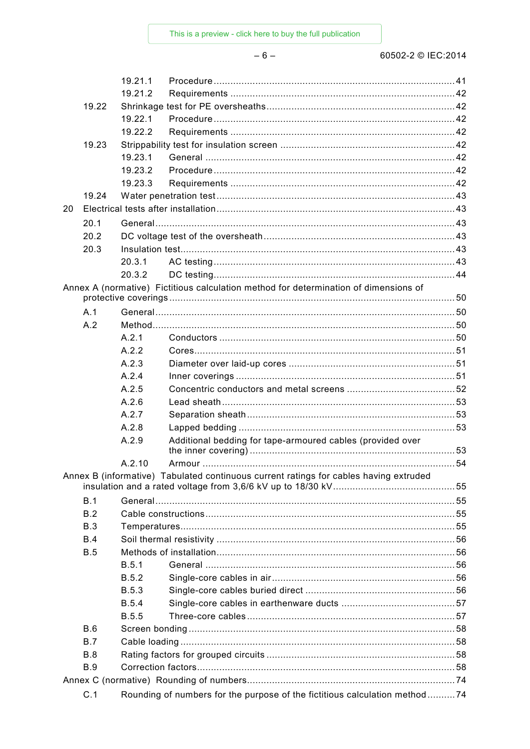$-6-$ 

### 60502-2 © IEC:2014

|    |            | 19.21.1      |                                                                                       |  |
|----|------------|--------------|---------------------------------------------------------------------------------------|--|
|    |            | 19.21.2      |                                                                                       |  |
|    | 19.22      |              |                                                                                       |  |
|    |            | 19.22.1      |                                                                                       |  |
|    |            | 19.22.2      |                                                                                       |  |
|    | 19.23      |              |                                                                                       |  |
|    |            | 19.23.1      |                                                                                       |  |
|    |            | 19.23.2      |                                                                                       |  |
|    |            | 19.23.3      |                                                                                       |  |
|    | 19.24      |              |                                                                                       |  |
| 20 |            |              |                                                                                       |  |
|    | 20.1       |              |                                                                                       |  |
|    | 20.2       |              |                                                                                       |  |
|    | 20.3       |              |                                                                                       |  |
|    |            | 20.3.1       |                                                                                       |  |
|    |            | 20.3.2       |                                                                                       |  |
|    |            |              | Annex A (normative) Fictitious calculation method for determination of dimensions of  |  |
|    |            |              |                                                                                       |  |
|    | A.1<br>A.2 |              |                                                                                       |  |
|    |            | A.2.1        |                                                                                       |  |
|    |            | A.2.2        |                                                                                       |  |
|    |            | A.2.3        |                                                                                       |  |
|    |            | A.2.4        |                                                                                       |  |
|    |            | A.2.5        |                                                                                       |  |
|    |            | A.2.6        |                                                                                       |  |
|    |            | A.2.7        |                                                                                       |  |
|    |            | A.2.8        |                                                                                       |  |
|    |            | A.2.9        | Additional bedding for tape-armoured cables (provided over                            |  |
|    |            |              |                                                                                       |  |
|    |            | A.2.10       |                                                                                       |  |
|    |            |              | Annex B (informative) Tabulated continuous current ratings for cables having extruded |  |
|    | B.1        |              |                                                                                       |  |
|    | B.2        |              |                                                                                       |  |
|    | <b>B.3</b> |              |                                                                                       |  |
|    | B.4        |              |                                                                                       |  |
|    | <b>B.5</b> |              |                                                                                       |  |
|    |            | B.5.1        |                                                                                       |  |
|    |            | <b>B.5.2</b> |                                                                                       |  |
|    |            | <b>B.5.3</b> |                                                                                       |  |
|    |            | <b>B.5.4</b> |                                                                                       |  |
|    |            | <b>B.5.5</b> |                                                                                       |  |
|    | <b>B.6</b> |              |                                                                                       |  |
|    | B.7        |              |                                                                                       |  |
|    | <b>B.8</b> |              |                                                                                       |  |
|    | <b>B.9</b> |              |                                                                                       |  |
|    |            |              |                                                                                       |  |
|    | C.1        |              | Rounding of numbers for the purpose of the fictitious calculation method74            |  |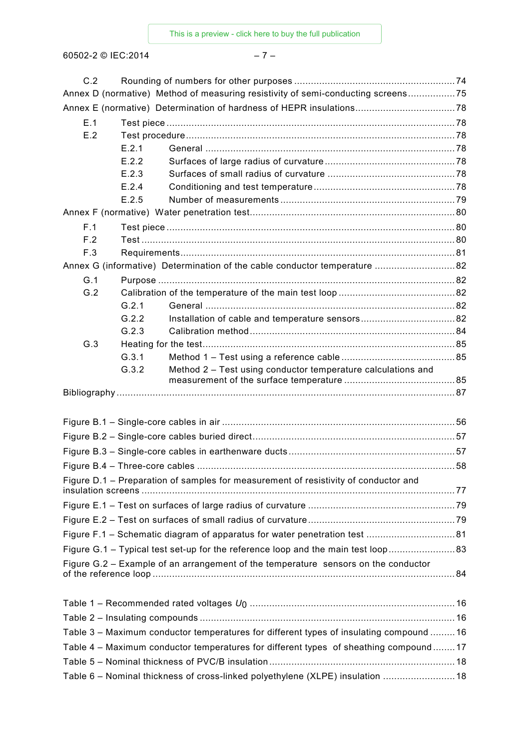60502-2 © IEC:2014 – 7 –

| C.2 |       |                                                                                         |  |
|-----|-------|-----------------------------------------------------------------------------------------|--|
|     |       | Annex D (normative) Method of measuring resistivity of semi-conducting screens75        |  |
|     |       |                                                                                         |  |
| E.1 |       |                                                                                         |  |
| E.2 |       |                                                                                         |  |
|     | E.2.1 |                                                                                         |  |
|     | E.2.2 |                                                                                         |  |
|     | E.2.3 |                                                                                         |  |
|     | E.2.4 |                                                                                         |  |
|     | E.2.5 |                                                                                         |  |
|     |       |                                                                                         |  |
| F.1 |       |                                                                                         |  |
| F.2 |       |                                                                                         |  |
| F.3 |       |                                                                                         |  |
|     |       | Annex G (informative) Determination of the cable conductor temperature  82              |  |
| G.1 |       |                                                                                         |  |
| G.2 |       |                                                                                         |  |
|     | G.2.1 |                                                                                         |  |
|     | G.2.2 |                                                                                         |  |
|     | G.2.3 |                                                                                         |  |
| G.3 |       |                                                                                         |  |
|     | G.3.1 |                                                                                         |  |
|     | G.3.2 | Method 2 – Test using conductor temperature calculations and                            |  |
|     |       |                                                                                         |  |
|     |       |                                                                                         |  |
|     |       |                                                                                         |  |
|     |       |                                                                                         |  |
|     |       |                                                                                         |  |
|     |       |                                                                                         |  |
|     |       |                                                                                         |  |
|     |       | Figure D.1 - Preparation of samples for measurement of resistivity of conductor and     |  |
|     |       |                                                                                         |  |
|     |       |                                                                                         |  |
|     |       |                                                                                         |  |
|     |       |                                                                                         |  |
|     |       | Figure G.1 - Typical test set-up for the reference loop and the main test loop83        |  |
|     |       | Figure G.2 – Example of an arrangement of the temperature sensors on the conductor      |  |
|     |       |                                                                                         |  |
|     |       |                                                                                         |  |
|     |       |                                                                                         |  |
|     |       |                                                                                         |  |
|     |       | Table 3 - Maximum conductor temperatures for different types of insulating compound  16 |  |
|     |       | Table 4 - Maximum conductor temperatures for different types of sheathing compound17    |  |
|     |       |                                                                                         |  |
|     |       | Table 6 - Nominal thickness of cross-linked polyethylene (XLPE) insulation  18          |  |
|     |       |                                                                                         |  |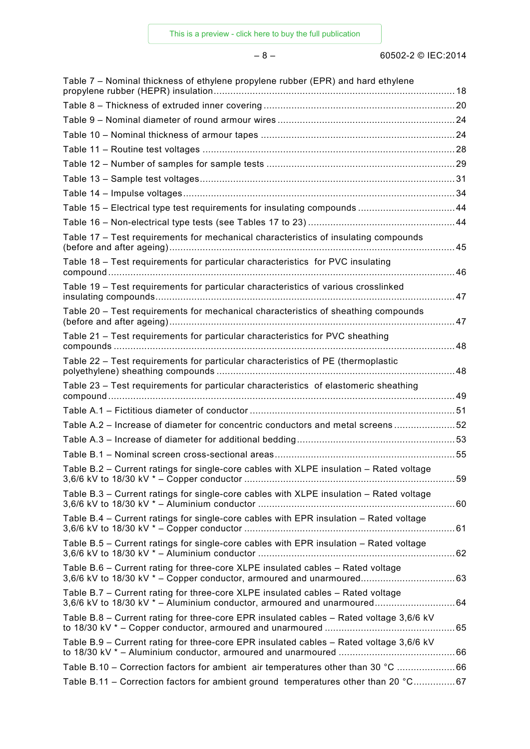– 8 – 60502-2 © IEC:2014

| Table 7 – Nominal thickness of ethylene propylene rubber (EPR) and hard ethylene                                                                            |  |
|-------------------------------------------------------------------------------------------------------------------------------------------------------------|--|
|                                                                                                                                                             |  |
|                                                                                                                                                             |  |
|                                                                                                                                                             |  |
|                                                                                                                                                             |  |
|                                                                                                                                                             |  |
|                                                                                                                                                             |  |
|                                                                                                                                                             |  |
| Table 15 - Electrical type test requirements for insulating compounds 44                                                                                    |  |
|                                                                                                                                                             |  |
| Table 17 - Test requirements for mechanical characteristics of insulating compounds                                                                         |  |
| Table 18 - Test requirements for particular characteristics for PVC insulating                                                                              |  |
| Table 19 - Test requirements for particular characteristics of various crosslinked                                                                          |  |
| Table 20 - Test requirements for mechanical characteristics of sheathing compounds                                                                          |  |
| Table 21 – Test requirements for particular characteristics for PVC sheathing                                                                               |  |
| Table 22 - Test requirements for particular characteristics of PE (thermoplastic                                                                            |  |
| Table 23 - Test requirements for particular characteristics of elastomeric sheathing                                                                        |  |
|                                                                                                                                                             |  |
| Table A.2 - Increase of diameter for concentric conductors and metal screens 52                                                                             |  |
|                                                                                                                                                             |  |
|                                                                                                                                                             |  |
| Table B.2 - Current ratings for single-core cables with XLPE insulation - Rated voltage                                                                     |  |
| Table B.3 – Current ratings for single-core cables with XLPE insulation – Rated voltage                                                                     |  |
| Table B.4 – Current ratings for single-core cables with EPR insulation – Rated voltage                                                                      |  |
| Table B.5 - Current ratings for single-core cables with EPR insulation - Rated voltage                                                                      |  |
| Table B.6 – Current rating for three-core XLPE insulated cables – Rated voltage                                                                             |  |
| Table B.7 - Current rating for three-core XLPE insulated cables - Rated voltage<br>3,6/6 kV to 18/30 kV * - Aluminium conductor, armoured and unarmoured 64 |  |
| Table B.8 - Current rating for three-core EPR insulated cables - Rated voltage 3,6/6 kV                                                                     |  |
| Table B.9 – Current rating for three-core EPR insulated cables – Rated voltage 3,6/6 kV                                                                     |  |
| Table B.10 - Correction factors for ambient air temperatures other than 30 °C 66                                                                            |  |
| Table B.11 - Correction factors for ambient ground temperatures other than 20 °C67                                                                          |  |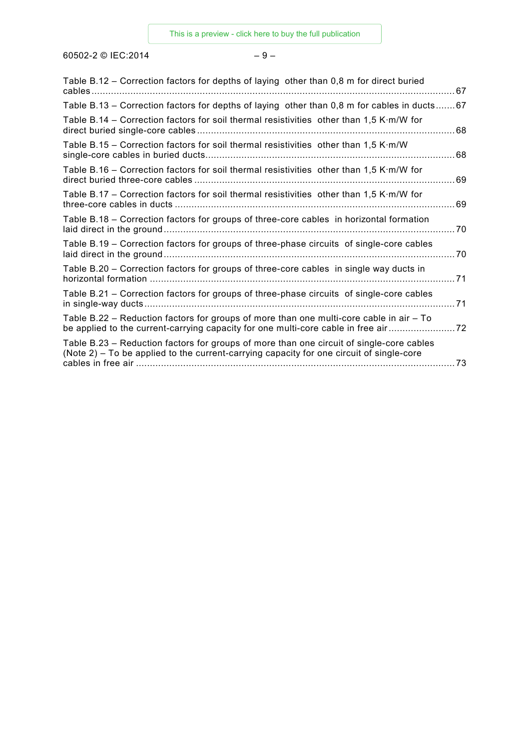60502-2 © IEC:2014  $-9-$ 

| Table B.12 – Correction factors for depths of laying other than 0,8 m for direct buried                                                                                              |
|--------------------------------------------------------------------------------------------------------------------------------------------------------------------------------------|
| Table B.13 – Correction factors for depths of laying other than 0,8 m for cables in ducts67                                                                                          |
| Table B.14 – Correction factors for soil thermal resistivities other than 1,5 K·m/W for                                                                                              |
| Table B.15 - Correction factors for soil thermal resistivities other than 1,5 K·m/W                                                                                                  |
| Table B.16 – Correction factors for soil thermal resistivities other than 1,5 K·m/W for<br>. 69                                                                                      |
| Table B.17 – Correction factors for soil thermal resistivities other than 1,5 K·m/W for                                                                                              |
| Table B.18 - Correction factors for groups of three-core cables in horizontal formation                                                                                              |
| Table B.19 – Correction factors for groups of three-phase circuits of single-core cables                                                                                             |
| Table B.20 – Correction factors for groups of three-core cables in single way ducts in                                                                                               |
| Table B.21 - Correction factors for groups of three-phase circuits of single-core cables                                                                                             |
| Table B.22 – Reduction factors for groups of more than one multi-core cable in air – To<br>be applied to the current-carrying capacity for one multi-core cable in free air          |
| Table B.23 - Reduction factors for groups of more than one circuit of single-core cables<br>(Note 2) - To be applied to the current-carrying capacity for one circuit of single-core |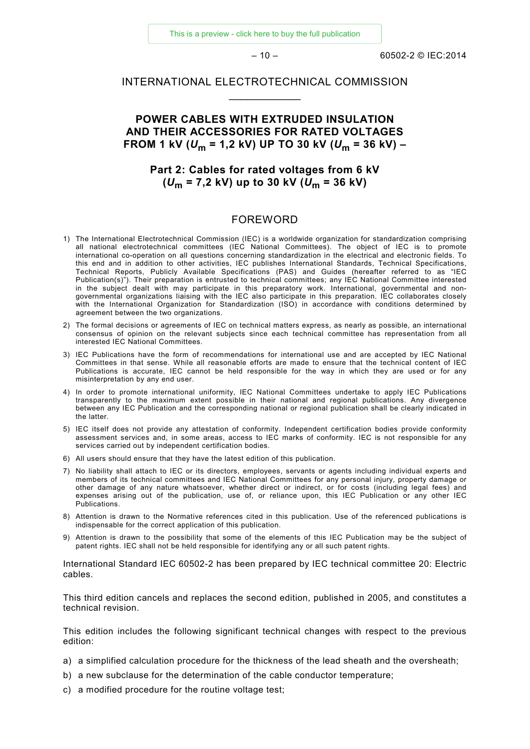[This is a preview - click here to buy the full publication](https://webstore.iec.ch/publication/2272&preview=1)

 $-10 - 60502 - 2014$ 

### INTERNATIONAL ELECTROTECHNICAL COMMISSION  $\overline{\phantom{a}}$

### **POWER CABLES WITH EXTRUDED INSULATION AND THEIR ACCESSORIES FOR RATED VOLTAGES FROM 1 kV (** $U_m$  **= 1,2 kV) UP TO 30 kV (** $U_m$  **= 36 kV) –**

### **Part 2: Cables for rated voltages from 6 kV (***U***<sup>m</sup> = 7,2 kV) up to 30 kV (***U***<sup>m</sup> = 36 kV)**

### FOREWORD

- <span id="page-9-0"></span>1) The International Electrotechnical Commission (IEC) is a worldwide organization for standardization comprising all national electrotechnical committees (IEC National Committees). The object of IEC is to promote international co-operation on all questions concerning standardization in the electrical and electronic fields. To this end and in addition to other activities, IEC publishes International Standards, Technical Specifications, Technical Reports, Publicly Available Specifications (PAS) and Guides (hereafter referred to as "IEC Publication(s)"). Their preparation is entrusted to technical committees; any IEC National Committee interested in the subject dealt with may participate in this preparatory work. International, governmental and nongovernmental organizations liaising with the IEC also participate in this preparation. IEC collaborates closely with the International Organization for Standardization (ISO) in accordance with conditions determined by agreement between the two organizations.
- 2) The formal decisions or agreements of IEC on technical matters express, as nearly as possible, an international consensus of opinion on the relevant subjects since each technical committee has representation from all interested IEC National Committees.
- 3) IEC Publications have the form of recommendations for international use and are accepted by IEC National Committees in that sense. While all reasonable efforts are made to ensure that the technical content of IEC Publications is accurate, IEC cannot be held responsible for the way in which they are used or for any misinterpretation by any end user.
- 4) In order to promote international uniformity, IEC National Committees undertake to apply IEC Publications transparently to the maximum extent possible in their national and regional publications. Any divergence between any IEC Publication and the corresponding national or regional publication shall be clearly indicated in the latter.
- 5) IEC itself does not provide any attestation of conformity. Independent certification bodies provide conformity assessment services and, in some areas, access to IEC marks of conformity. IEC is not responsible for any services carried out by independent certification bodies.
- 6) All users should ensure that they have the latest edition of this publication.
- 7) No liability shall attach to IEC or its directors, employees, servants or agents including individual experts and members of its technical committees and IEC National Committees for any personal injury, property damage or other damage of any nature whatsoever, whether direct or indirect, or for costs (including legal fees) and expenses arising out of the publication, use of, or reliance upon, this IEC Publication or any other IEC Publications.
- 8) Attention is drawn to the Normative references cited in this publication. Use of the referenced publications is indispensable for the correct application of this publication.
- 9) Attention is drawn to the possibility that some of the elements of this IEC Publication may be the subject of patent rights. IEC shall not be held responsible for identifying any or all such patent rights.

International Standard IEC 60502-2 has been prepared by IEC technical committee 20: Electric cables.

This third edition cancels and replaces the second edition, published in 2005, and constitutes a technical revision.

This edition includes the following significant technical changes with respect to the previous edition:

- a) a simplified calculation procedure for the thickness of the lead sheath and the oversheath;
- b) a new subclause for the determination of the cable conductor temperature;
- c) a modified procedure for the routine voltage test;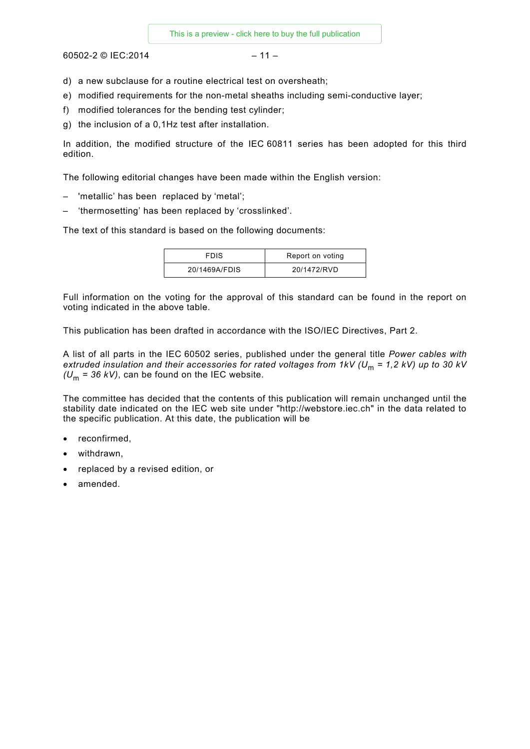$60502 - 2$  © IEC:2014 – 11

- d) a new subclause for a routine electrical test on oversheath;
- e) modified requirements for the non-metal sheaths including semi-conductive layer;
- f) modified tolerances for the bending test cylinder;
- g) the inclusion of a 0,1Hz test after installation.

In addition, the modified structure of the IEC 60811 series has been adopted for this third edition.

The following editorial changes have been made within the English version:

- 'metallic' has been replaced by 'metal';
- 'thermosetting' has been replaced by 'crosslinked'.

The text of this standard is based on the following documents:

| <b>FDIS</b>   | Report on voting |
|---------------|------------------|
| 20/1469A/FDIS | 20/1472/RVD      |

Full information on the voting for the approval of this standard can be found in the report on voting indicated in the above table.

This publication has been drafted in accordance with the ISO/IEC Directives, Part 2.

A list of all parts in the IEC 60502 series, published under the general title *Power cables with extruded insulation and their accessories for rated voltages from 1kV (U<sub>m</sub> = 1,2 kV) up to 30 kV*  $(U_m = 36 \text{ kV})$ , can be found on the IEC website.

The committee has decided that the contents of this publication will remain unchanged until the stability date indicated on the IEC web site under "http://webstore.iec.ch" in the data related to the specific publication. At this date, the publication will be

- reconfirmed,
- withdrawn,
- replaced by a revised edition, or
- amended.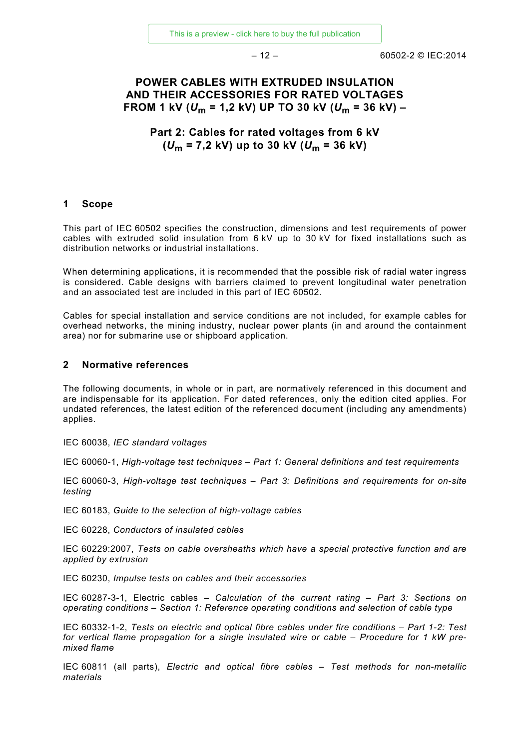$-12 - 60502 - 2014$ 

### **POWER CABLES WITH EXTRUDED INSULATION AND THEIR ACCESSORIES FOR RATED VOLTAGES FROM 1 kV (***U***<sup>m</sup> = 1,2 kV) UP TO 30 kV (***U***<sup>m</sup> = 36 kV) –**

**Part 2: Cables for rated voltages from 6 kV (***U***<sup>m</sup> = 7,2 kV) up to 30 kV (***U***<sup>m</sup> = 36 kV)**

### <span id="page-11-0"></span>**1 Scope**

This part of IEC 60502 specifies the construction, dimensions and test requirements of power cables with extruded solid insulation from 6 kV up to 30 kV for fixed installations such as distribution networks or industrial installations.

When determining applications, it is recommended that the possible risk of radial water ingress is considered. Cable designs with barriers claimed to prevent longitudinal water penetration and an associated test are included in this part of IEC 60502.

Cables for special installation and service conditions are not included, for example cables for overhead networks, the mining industry, nuclear power plants (in and around the containment area) nor for submarine use or shipboard application.

### <span id="page-11-1"></span>**2 Normative references**

The following documents, in whole or in part, are normatively referenced in this document and are indispensable for its application. For dated references, only the edition cited applies. For undated references, the latest edition of the referenced document (including any amendments) applies.

IEC 60038, *IEC standard voltages*

IEC 60060-1, *High-voltage test techniques – Part 1: General definitions and test requirements*

IEC 60060-3, *High-voltage test techniques – Part 3: Definitions and requirements for on-site testing*

IEC 60183, *Guide to the selection of high-voltage cables*

IEC 60228, *Conductors of insulated cables*

IEC 60229:2007, *Tests on cable oversheaths which have a special protective function and are applied by extrusion*

IEC 60230, *Impulse tests on cables and their accessories*

IEC 60287-3-1, Electric cables – *Calculation of the current rating – Part 3: Sections on operating conditions – Section 1: Reference operating conditions and selection of cable type*

IEC 60332-1-2, *Tests on electric and optical fibre cables under fire conditions – Part 1-2: Test for vertical flame propagation for a single insulated wire or cable – Procedure for 1 kW premixed flame*

IEC 60811 (all parts), *Electric and optical fibre cables – Test methods for non-metallic materials*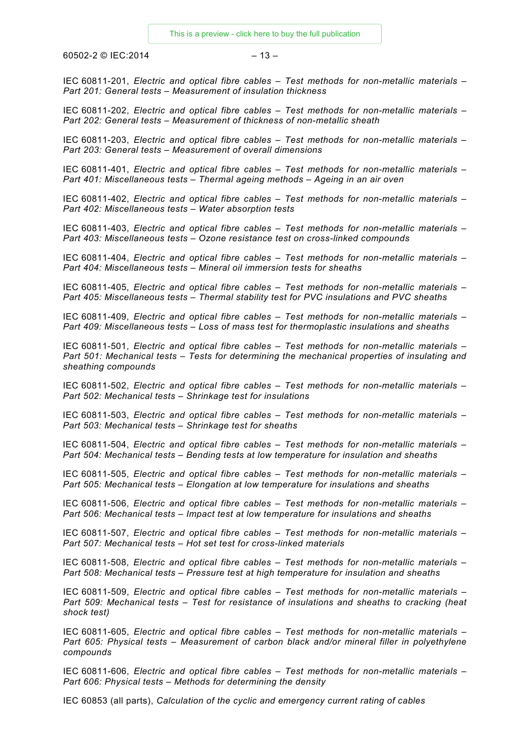$60502 - 2 \odot 1 \text{E}$ C:2014 – 13 –

IEC 60811-201, *Electric and optical fibre cables – Test methods for non-metallic materials – Part 201: General tests – Measurement of insulation thickness*

IEC 60811-202, *Electric and optical fibre cables – Test methods for non-metallic materials – Part 202: General tests – Measurement of thickness of non-metallic sheath*

IEC 60811-203, *Electric and optical fibre cables – Test methods for non-metallic materials – Part 203: General tests – Measurement of overall dimensions*

IEC 60811-401, *Electric and optical fibre cables – Test methods for non-metallic materials – Part 401: Miscellaneous tests – Thermal ageing methods – Ageing in an air oven*

IEC 60811-402, *Electric and optical fibre cables – Test methods for non-metallic materials – Part 402: Miscellaneous tests – Water absorption tests*

IEC 60811-403, *Electric and optical fibre cables – Test methods for non-metallic materials – Part 403: Miscellaneous tests – Ozone resistance test on cross-linked compounds*

IEC 60811-404, *Electric and optical fibre cables – Test methods for non-metallic materials – Part 404: Miscellaneous tests – Mineral oil immersion tests for sheaths*

IEC 60811-405, *Electric and optical fibre cables – Test methods for non-metallic materials – Part 405: Miscellaneous tests – Thermal stability test for PVC insulations and PVC sheaths*

IEC 60811-409, *Electric and optical fibre cables – Test methods for non-metallic materials – Part 409: Miscellaneous tests – Loss of mass test for thermoplastic insulations and sheaths*

IEC 60811-501, *Electric and optical fibre cables – Test methods for non-metallic materials – Part 501: Mechanical tests – Tests for determining the mechanical properties of insulating and sheathing compounds*

IEC 60811-502, *Electric and optical fibre cables – Test methods for non-metallic materials – Part 502: Mechanical tests – Shrinkage test for insulations*

IEC 60811-503, *Electric and optical fibre cables – Test methods for non-metallic materials – Part 503: Mechanical tests – Shrinkage test for sheaths*

IEC 60811-504, *Electric and optical fibre cables – Test methods for non-metallic materials – Part 504: Mechanical tests – Bending tests at low temperature for insulation and sheaths*

IEC 60811-505, *Electric and optical fibre cables – Test methods for non-metallic materials – Part 505: Mechanical tests – Elongation at low temperature for insulations and sheaths*

IEC 60811-506, *Electric and optical fibre cables – Test methods for non-metallic materials – Part 506: Mechanical tests – Impact test at low temperature for insulations and sheaths*

IEC 60811-507, *Electric and optical fibre cables – Test methods for non-metallic materials – Part 507: Mechanical tests – Hot set test for cross-linked materials*

IEC 60811-508, *Electric and optical fibre cables – Test methods for non-metallic materials – Part 508: Mechanical tests – Pressure test at high temperature for insulation and sheaths*

IEC 60811-509, *Electric and optical fibre cables – Test methods for non-metallic materials – Part 509: Mechanical tests – Test for resistance of insulations and sheaths to cracking (heat shock test)*

IEC 60811-605, *Electric and optical fibre cables – Test methods for non-metallic materials – Part 605: Physical tests – Measurement of carbon black and/or mineral filler in polyethylene compounds*

IEC 60811-606, *Electric and optical fibre cables – Test methods for non-metallic materials – Part 606: Physical tests – Methods for determining the density*

IEC 60853 (all parts), *Calculation of the cyclic and emergency current rating of cables*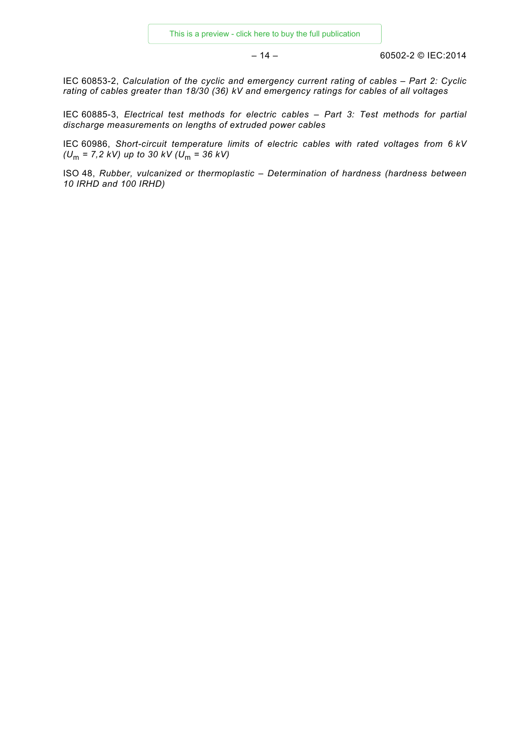– 14 – 60502-2 © IEC:2014

IEC 60853-2, *Calculation of the cyclic and emergency current rating of cables – Part 2: Cyclic rating of cables greater than 18/30 (36) kV and emergency ratings for cables of all voltages*

IEC 60885-3, *Electrical test methods for electric cables – Part 3: Test methods for partial discharge measurements on lengths of extruded power cables*

IEC 60986, *Short-circuit temperature limits of electric cables with rated voltages from 6 kV (U<sub>m</sub>* = 7,2 *kV*) *up to 30 kV (U<sub>m</sub>* = 36 *kV*)

<span id="page-13-2"></span><span id="page-13-1"></span><span id="page-13-0"></span>ISO 48, *Rubber, vulcanized or thermoplastic – Determination of hardness (hardness between 10 IRHD and 100 IRHD)*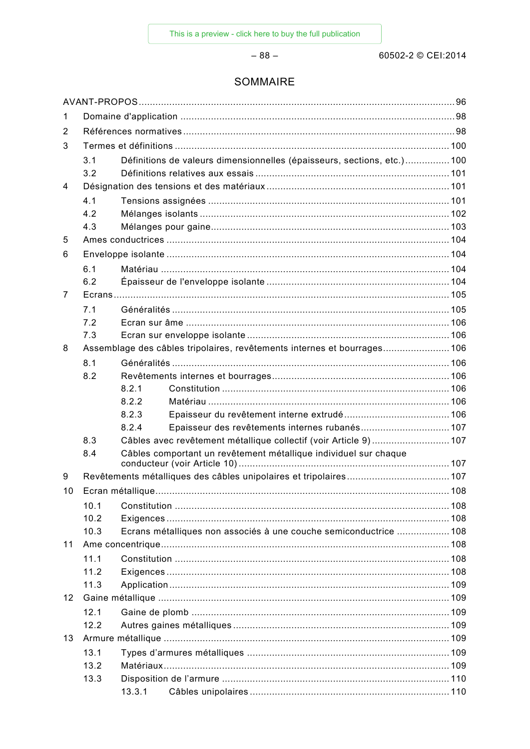$-88-$ 

### SOMMAIRE

| 1  |      |        |                                                                          |  |  |
|----|------|--------|--------------------------------------------------------------------------|--|--|
| 2  |      |        |                                                                          |  |  |
| 3  |      |        |                                                                          |  |  |
|    | 3.1  |        | Définitions de valeurs dimensionnelles (épaisseurs, sections, etc.)100   |  |  |
|    | 3.2  |        |                                                                          |  |  |
| 4  |      |        |                                                                          |  |  |
|    | 4.1  |        |                                                                          |  |  |
|    | 4.2  |        |                                                                          |  |  |
|    | 4.3  |        |                                                                          |  |  |
| 5  |      |        |                                                                          |  |  |
| 6  |      |        |                                                                          |  |  |
|    | 6.1  |        |                                                                          |  |  |
|    | 6.2  |        |                                                                          |  |  |
| 7  |      |        |                                                                          |  |  |
|    | 7.1  |        |                                                                          |  |  |
|    | 7.2  |        |                                                                          |  |  |
|    | 7.3  |        |                                                                          |  |  |
| 8  |      |        | Assemblage des câbles tripolaires, revêtements internes et bourrages 106 |  |  |
|    | 8.1  |        |                                                                          |  |  |
|    | 8.2  |        |                                                                          |  |  |
|    |      | 8.2.1  |                                                                          |  |  |
|    |      | 8.2.2  |                                                                          |  |  |
|    |      | 8.2.3  |                                                                          |  |  |
|    |      | 8.2.4  | Epaisseur des revêtements internes rubanés 107                           |  |  |
|    | 8.3  |        | Câbles avec revêtement métallique collectif (voir Article 9)107          |  |  |
|    | 8.4  |        | Câbles comportant un revêtement métallique individuel sur chaque         |  |  |
| 9  |      |        |                                                                          |  |  |
| 10 |      |        |                                                                          |  |  |
|    | 10.1 |        |                                                                          |  |  |
|    | 10.2 |        |                                                                          |  |  |
|    | 10.3 |        | Ecrans métalliques non associés à une couche semiconductrice 108         |  |  |
| 11 |      |        |                                                                          |  |  |
|    | 11.1 |        |                                                                          |  |  |
|    | 11.2 |        |                                                                          |  |  |
|    | 11.3 |        |                                                                          |  |  |
| 12 |      |        |                                                                          |  |  |
|    | 12.1 |        |                                                                          |  |  |
|    | 12.2 |        |                                                                          |  |  |
| 13 |      |        |                                                                          |  |  |
|    | 13.1 |        |                                                                          |  |  |
|    | 13.2 |        |                                                                          |  |  |
|    | 13.3 |        |                                                                          |  |  |
|    |      | 13.3.1 |                                                                          |  |  |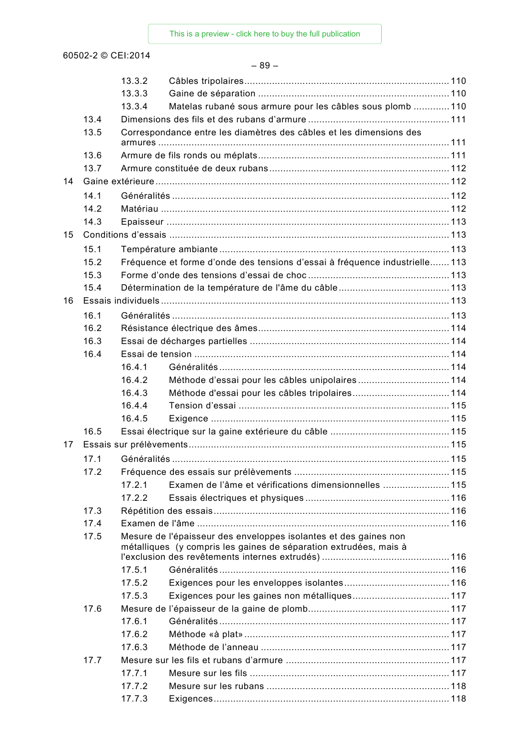|    |      | 13.3.2 |                                                                                                                                       |  |
|----|------|--------|---------------------------------------------------------------------------------------------------------------------------------------|--|
|    |      | 13.3.3 |                                                                                                                                       |  |
|    |      | 13.3.4 | Matelas rubané sous armure pour les câbles sous plomb  110                                                                            |  |
|    | 13.4 |        |                                                                                                                                       |  |
|    | 13.5 |        | Correspondance entre les diamètres des câbles et les dimensions des                                                                   |  |
|    | 13.6 |        |                                                                                                                                       |  |
|    | 13.7 |        |                                                                                                                                       |  |
| 14 |      |        |                                                                                                                                       |  |
|    | 14.1 |        |                                                                                                                                       |  |
|    | 14.2 |        |                                                                                                                                       |  |
|    | 14.3 |        |                                                                                                                                       |  |
| 15 |      |        |                                                                                                                                       |  |
|    | 15.1 |        |                                                                                                                                       |  |
|    | 15.2 |        | Fréquence et forme d'onde des tensions d'essai à fréquence industrielle 113                                                           |  |
|    | 15.3 |        |                                                                                                                                       |  |
|    | 15.4 |        |                                                                                                                                       |  |
| 16 |      |        |                                                                                                                                       |  |
|    | 16.1 |        |                                                                                                                                       |  |
|    | 16.2 |        |                                                                                                                                       |  |
|    | 16.3 |        |                                                                                                                                       |  |
|    | 16.4 |        |                                                                                                                                       |  |
|    |      | 16.4.1 |                                                                                                                                       |  |
|    |      | 16.4.2 | Méthode d'essai pour les câbles unipolaires114                                                                                        |  |
|    |      | 16.4.3 |                                                                                                                                       |  |
|    |      | 16.4.4 |                                                                                                                                       |  |
|    |      | 16.4.5 |                                                                                                                                       |  |
|    | 16.5 |        |                                                                                                                                       |  |
| 17 |      |        |                                                                                                                                       |  |
|    | 17.1 |        |                                                                                                                                       |  |
|    | 17.2 |        |                                                                                                                                       |  |
|    |      | 17.2.1 | Examen de l'âme et vérifications dimensionnelles  115                                                                                 |  |
|    |      | 17.2.2 |                                                                                                                                       |  |
|    | 17.3 |        |                                                                                                                                       |  |
|    | 17.4 |        |                                                                                                                                       |  |
|    | 17.5 |        | Mesure de l'épaisseur des enveloppes isolantes et des gaines non<br>métalliques (y compris les gaines de séparation extrudées, mais à |  |
|    |      | 17.5.1 |                                                                                                                                       |  |
|    |      | 17.5.2 |                                                                                                                                       |  |
|    |      | 17.5.3 |                                                                                                                                       |  |
|    | 17.6 |        |                                                                                                                                       |  |
|    |      | 17.6.1 |                                                                                                                                       |  |
|    |      | 17.6.2 |                                                                                                                                       |  |
|    |      | 17.6.3 |                                                                                                                                       |  |
|    | 17.7 |        |                                                                                                                                       |  |
|    |      | 17.7.1 |                                                                                                                                       |  |
|    |      | 17.7.2 |                                                                                                                                       |  |
|    |      | 17.7.3 |                                                                                                                                       |  |
|    |      |        |                                                                                                                                       |  |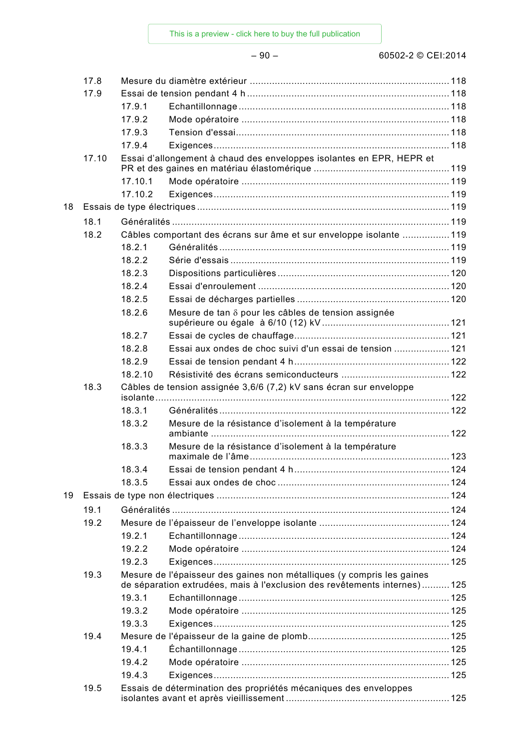|    | 17.8  |                                                                    |                                                                          |  |  |  |
|----|-------|--------------------------------------------------------------------|--------------------------------------------------------------------------|--|--|--|
|    | 17.9  |                                                                    |                                                                          |  |  |  |
|    |       | 17.9.1                                                             |                                                                          |  |  |  |
|    |       | 17.9.2                                                             |                                                                          |  |  |  |
|    |       | 17.9.3                                                             |                                                                          |  |  |  |
|    |       | 17.9.4                                                             |                                                                          |  |  |  |
|    | 17.10 |                                                                    | Essai d'allongement à chaud des enveloppes isolantes en EPR, HEPR et     |  |  |  |
|    |       | 17.10.1                                                            |                                                                          |  |  |  |
|    |       | 17.10.2                                                            |                                                                          |  |  |  |
| 18 |       |                                                                    |                                                                          |  |  |  |
|    | 18.1  |                                                                    |                                                                          |  |  |  |
|    | 18.2  |                                                                    | Câbles comportant des écrans sur âme et sur enveloppe isolante 119       |  |  |  |
|    |       | 18.2.1                                                             |                                                                          |  |  |  |
|    |       | 18.2.2                                                             |                                                                          |  |  |  |
|    |       | 18.2.3                                                             |                                                                          |  |  |  |
|    |       | 18.2.4                                                             |                                                                          |  |  |  |
|    |       | 18.2.5                                                             |                                                                          |  |  |  |
|    |       | 18.2.6                                                             | Mesure de tan $\delta$ pour les câbles de tension assignée               |  |  |  |
|    |       |                                                                    |                                                                          |  |  |  |
|    |       | 18.2.7                                                             |                                                                          |  |  |  |
|    |       | 18.2.8                                                             | Essai aux ondes de choc suivi d'un essai de tension  121                 |  |  |  |
|    |       | 18.2.9                                                             |                                                                          |  |  |  |
|    |       | 18.2.10                                                            |                                                                          |  |  |  |
|    | 18.3  | Câbles de tension assignée 3,6/6 (7,2) kV sans écran sur enveloppe |                                                                          |  |  |  |
|    |       | 18.3.1                                                             |                                                                          |  |  |  |
|    |       |                                                                    |                                                                          |  |  |  |
|    |       | 18.3.2                                                             | Mesure de la résistance d'isolement à la température                     |  |  |  |
|    |       | 18.3.3                                                             | Mesure de la résistance d'isolement à la température                     |  |  |  |
|    |       | 18.3.4                                                             |                                                                          |  |  |  |
|    |       | 18.3.5                                                             |                                                                          |  |  |  |
| 19 |       |                                                                    |                                                                          |  |  |  |
|    | 19.1  |                                                                    |                                                                          |  |  |  |
|    | 19.2  |                                                                    |                                                                          |  |  |  |
|    |       | 19.2.1                                                             |                                                                          |  |  |  |
|    |       | 19.2.2                                                             |                                                                          |  |  |  |
|    |       | 19.2.3                                                             |                                                                          |  |  |  |
|    | 19.3  |                                                                    | Mesure de l'épaisseur des gaines non métalliques (y compris les gaines   |  |  |  |
|    |       |                                                                    | de séparation extrudées, mais à l'exclusion des revêtements internes)125 |  |  |  |
|    |       | 19.3.1                                                             |                                                                          |  |  |  |
|    |       | 19.3.2                                                             |                                                                          |  |  |  |
|    |       | 19.3.3                                                             |                                                                          |  |  |  |
|    | 19.4  |                                                                    |                                                                          |  |  |  |
|    |       | 19.4.1                                                             |                                                                          |  |  |  |
|    |       | 19.4.2                                                             |                                                                          |  |  |  |
|    |       | 19.4.3                                                             |                                                                          |  |  |  |
|    | 19.5  |                                                                    | Essais de détermination des propriétés mécaniques des enveloppes         |  |  |  |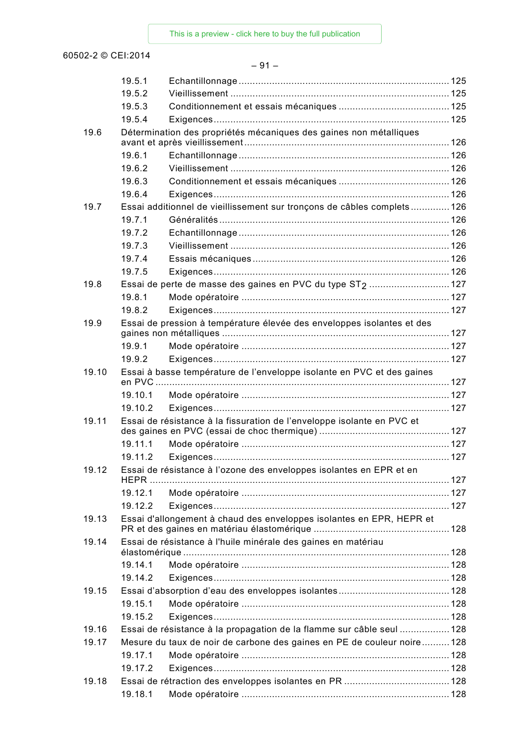### – 91 –

|       | 19.5.1  |                                                                        |  |
|-------|---------|------------------------------------------------------------------------|--|
|       | 19.5.2  |                                                                        |  |
|       | 19.5.3  |                                                                        |  |
|       | 19.5.4  |                                                                        |  |
| 19.6  |         | Détermination des propriétés mécaniques des gaines non métalliques     |  |
|       | 19.6.1  |                                                                        |  |
|       | 19.6.2  |                                                                        |  |
|       | 19.6.3  |                                                                        |  |
|       | 19.6.4  |                                                                        |  |
| 19.7  |         | Essai additionnel de vieillissement sur tronçons de câbles complets126 |  |
|       | 19.7.1  |                                                                        |  |
|       | 19.7.2  |                                                                        |  |
|       | 19.7.3  |                                                                        |  |
|       | 19.7.4  |                                                                        |  |
|       | 19.7.5  |                                                                        |  |
| 19.8  |         | Essai de perte de masse des gaines en PVC du type ST <sub>2</sub> 127  |  |
|       | 19.8.1  |                                                                        |  |
|       |         |                                                                        |  |
|       | 19.8.2  |                                                                        |  |
| 19.9  |         | Essai de pression à température élevée des enveloppes isolantes et des |  |
|       | 19.9.1  |                                                                        |  |
|       | 19.9.2  |                                                                        |  |
| 19.10 |         | Essai à basse température de l'enveloppe isolante en PVC et des gaines |  |
|       | 19.10.1 |                                                                        |  |
|       | 19.10.2 |                                                                        |  |
| 19.11 |         | Essai de résistance à la fissuration de l'enveloppe isolante en PVC et |  |
|       | 19.11.1 |                                                                        |  |
|       | 19.11.2 |                                                                        |  |
| 19.12 |         | Essai de résistance à l'ozone des enveloppes isolantes en EPR et en    |  |
|       |         |                                                                        |  |
|       | 19.12.1 |                                                                        |  |
|       | 19.12.2 |                                                                        |  |
| 19.13 |         | Essai d'allongement à chaud des enveloppes isolantes en EPR, HEPR et   |  |
| 19.14 |         | Essai de résistance à l'huile minérale des gaines en matériau          |  |
|       |         |                                                                        |  |
|       | 19.14.1 |                                                                        |  |
|       | 19.14.2 |                                                                        |  |
| 19.15 |         |                                                                        |  |
|       | 19.15.1 |                                                                        |  |
|       | 19.15.2 |                                                                        |  |
| 19.16 |         | Essai de résistance à la propagation de la flamme sur câble seul 128   |  |
| 19.17 |         | Mesure du taux de noir de carbone des gaines en PE de couleur noire128 |  |
|       | 19.17.1 |                                                                        |  |
|       | 19.17.2 |                                                                        |  |
| 19.18 |         |                                                                        |  |
|       | 19.18.1 |                                                                        |  |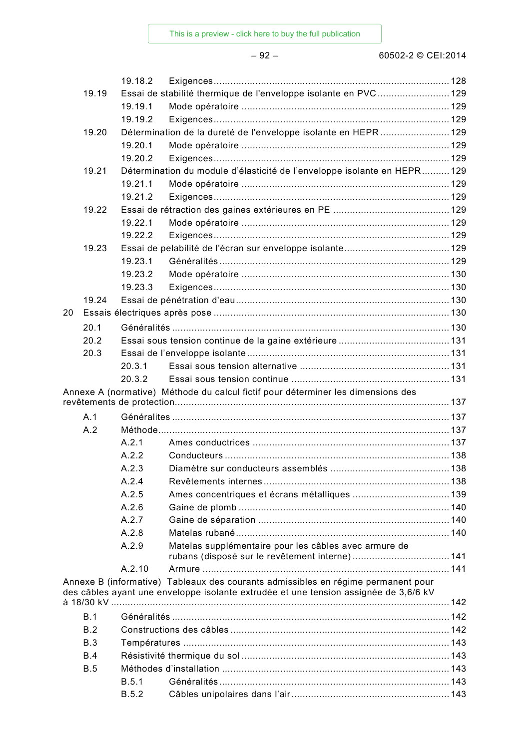|       | 19.18.2               |                                                                                      |  |
|-------|-----------------------|--------------------------------------------------------------------------------------|--|
| 19.19 |                       | Essai de stabilité thermique de l'enveloppe isolante en PVC129                       |  |
|       | 19.19.1               |                                                                                      |  |
|       | 19.19.2               |                                                                                      |  |
| 19.20 |                       | Détermination de la dureté de l'enveloppe isolante en HEPR 129                       |  |
|       | 19.20.1               |                                                                                      |  |
|       | 19.20.2               |                                                                                      |  |
| 19.21 |                       | Détermination du module d'élasticité de l'enveloppe isolante en HEPR129              |  |
|       | 19.21.1               |                                                                                      |  |
|       | 19.21.2               |                                                                                      |  |
| 19.22 |                       |                                                                                      |  |
|       | 19.22.1               |                                                                                      |  |
|       | 19.22.2               |                                                                                      |  |
| 19.23 |                       |                                                                                      |  |
|       | 19.23.1               |                                                                                      |  |
|       | 19.23.2               |                                                                                      |  |
|       | 19.23.3               |                                                                                      |  |
| 19.24 |                       |                                                                                      |  |
| 20    |                       |                                                                                      |  |
| 20.1  |                       |                                                                                      |  |
| 20.2  |                       |                                                                                      |  |
| 20.3  |                       |                                                                                      |  |
|       | 20.3.1                |                                                                                      |  |
|       | 20.3.2                |                                                                                      |  |
|       |                       | Annexe A (normative) Méthode du calcul fictif pour déterminer les dimensions des     |  |
|       |                       |                                                                                      |  |
| A.1   |                       |                                                                                      |  |
| A.2   |                       |                                                                                      |  |
|       | A.2.1                 |                                                                                      |  |
|       |                       |                                                                                      |  |
|       | A.2.2                 |                                                                                      |  |
|       | A.2.3                 |                                                                                      |  |
|       | A.2.4                 |                                                                                      |  |
|       | A.2.5                 |                                                                                      |  |
|       | A.2.6                 |                                                                                      |  |
|       | A.2.7                 |                                                                                      |  |
|       |                       |                                                                                      |  |
|       | A.2.8<br>A.2.9        |                                                                                      |  |
|       |                       | Matelas supplémentaire pour les câbles avec armure de                                |  |
|       | A.2.10                |                                                                                      |  |
|       |                       | Annexe B (informative) Tableaux des courants admissibles en régime permanent pour    |  |
|       |                       | des câbles ayant une enveloppe isolante extrudée et une tension assignée de 3,6/6 kV |  |
|       |                       |                                                                                      |  |
| B.1   |                       |                                                                                      |  |
| B.2   |                       |                                                                                      |  |
| B.3   |                       |                                                                                      |  |
| B.4   |                       |                                                                                      |  |
| B.5   |                       |                                                                                      |  |
|       | B.5.1<br><b>B.5.2</b> |                                                                                      |  |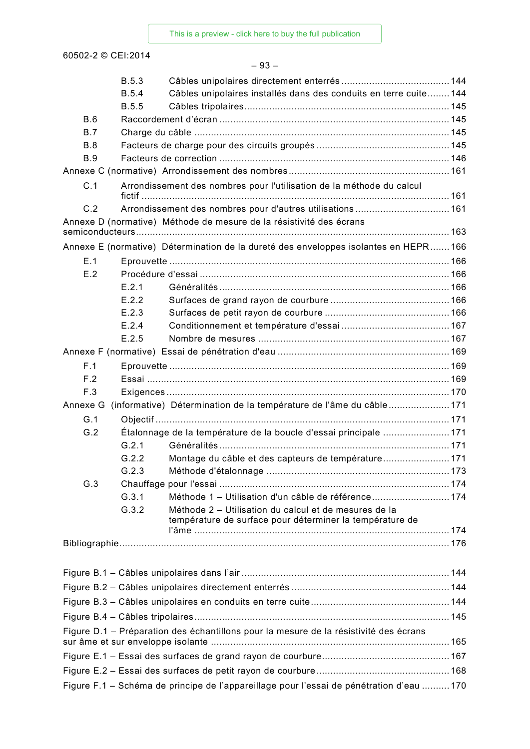| ۰,<br>×<br>× |
|--------------|
|--------------|

|            | <b>B.5.3</b> |                                                                                                                   |  |
|------------|--------------|-------------------------------------------------------------------------------------------------------------------|--|
|            | <b>B.5.4</b> | Câbles unipolaires installés dans des conduits en terre cuite 144                                                 |  |
|            | <b>B.5.5</b> |                                                                                                                   |  |
| B.6        |              |                                                                                                                   |  |
| B.7        |              |                                                                                                                   |  |
| B.8        |              |                                                                                                                   |  |
| <b>B.9</b> |              |                                                                                                                   |  |
|            |              |                                                                                                                   |  |
| C.1        |              | Arrondissement des nombres pour l'utilisation de la méthode du calcul                                             |  |
| C.2        |              | Arrondissement des nombres pour d'autres utilisations 161                                                         |  |
|            |              | Annexe D (normative) Méthode de mesure de la résistivité des écrans                                               |  |
|            |              | Annexe E (normative) Détermination de la dureté des enveloppes isolantes en HEPR166                               |  |
| E.1        |              |                                                                                                                   |  |
| E.2        |              |                                                                                                                   |  |
|            | E.2.1        |                                                                                                                   |  |
|            | E.2.2        |                                                                                                                   |  |
|            | E.2.3        |                                                                                                                   |  |
|            | E.2.4        |                                                                                                                   |  |
|            | E.2.5        |                                                                                                                   |  |
|            |              |                                                                                                                   |  |
| F.1        |              |                                                                                                                   |  |
| F.2        |              |                                                                                                                   |  |
| F.3        |              |                                                                                                                   |  |
| Annexe G   |              | (informative) Détermination de la température de l'âme du câble171                                                |  |
| G.1        |              |                                                                                                                   |  |
| G.2        |              | Étalonnage de la température de la boucle d'essai principale 171                                                  |  |
|            | G.2.1        |                                                                                                                   |  |
|            | G.2.2        | Montage du câble et des capteurs de température171                                                                |  |
|            | G.2.3        |                                                                                                                   |  |
| G.3        |              |                                                                                                                   |  |
|            | G.3.1        | Méthode 1 - Utilisation d'un câble de référence 174                                                               |  |
|            | G.3.2        | Méthode 2 - Utilisation du calcul et de mesures de la<br>température de surface pour déterminer la température de |  |
|            |              |                                                                                                                   |  |
|            |              |                                                                                                                   |  |
|            |              |                                                                                                                   |  |
|            |              |                                                                                                                   |  |
|            |              |                                                                                                                   |  |
|            |              |                                                                                                                   |  |
|            |              | Figure D.1 - Préparation des échantillons pour la mesure de la résistivité des écrans                             |  |
|            |              |                                                                                                                   |  |
|            |              |                                                                                                                   |  |
|            |              |                                                                                                                   |  |
|            |              | Figure F.1 - Schéma de principe de l'appareillage pour l'essai de pénétration d'eau 170                           |  |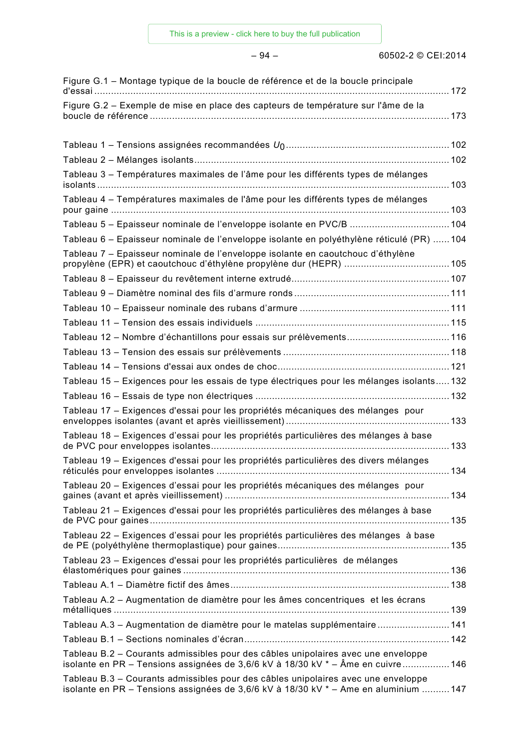### – 94 – 60502-2 © CEI:2014

| Figure G.1 – Montage typique de la boucle de référence et de la boucle principale                                                                                         |     |
|---------------------------------------------------------------------------------------------------------------------------------------------------------------------------|-----|
| Figure G.2 - Exemple de mise en place des capteurs de température sur l'âme de la                                                                                         |     |
|                                                                                                                                                                           |     |
|                                                                                                                                                                           |     |
|                                                                                                                                                                           |     |
| Tableau 3 - Températures maximales de l'âme pour les différents types de mélanges                                                                                         |     |
| Tableau 4 - Températures maximales de l'âme pour les différents types de mélanges                                                                                         |     |
| Tableau 5 - Epaisseur nominale de l'enveloppe isolante en PVC/B  104                                                                                                      |     |
| Tableau 6 – Epaisseur nominale de l'enveloppe isolante en polyéthylène réticulé (PR)  104                                                                                 |     |
| Tableau 7 - Epaisseur nominale de l'enveloppe isolante en caoutchouc d'éthylène                                                                                           |     |
|                                                                                                                                                                           |     |
|                                                                                                                                                                           |     |
|                                                                                                                                                                           |     |
|                                                                                                                                                                           |     |
| Tableau 12 - Nombre d'échantillons pour essais sur prélèvements 116                                                                                                       |     |
|                                                                                                                                                                           |     |
|                                                                                                                                                                           |     |
| Tableau 15 - Exigences pour les essais de type électriques pour les mélanges isolants 132                                                                                 |     |
|                                                                                                                                                                           |     |
| Tableau 17 - Exigences d'essai pour les propriétés mécaniques des mélanges pour                                                                                           |     |
| Tableau 18 - Exigences d'essai pour les propriétés particulières des mélanges à base                                                                                      |     |
| Tableau 19 – Exigences d'essai pour les propriétés particulières des divers mélanges                                                                                      | 134 |
| Tableau 20 - Exigences d'essai pour les propriétés mécaniques des mélanges pour                                                                                           |     |
| Tableau 21 – Exigences d'essai pour les propriétés particulières des mélanges à base                                                                                      |     |
| Tableau 22 - Exigences d'essai pour les propriétés particulières des mélanges à base                                                                                      |     |
| Tableau 23 - Exigences d'essai pour les propriétés particulières de mélanges                                                                                              |     |
|                                                                                                                                                                           |     |
| Tableau A.2 - Augmentation de diamètre pour les âmes concentriques et les écrans                                                                                          |     |
| Tableau A.3 - Augmentation de diamètre pour le matelas supplémentaire  141                                                                                                |     |
|                                                                                                                                                                           |     |
| Tableau B.2 - Courants admissibles pour des câbles unipolaires avec une enveloppe<br>isolante en PR – Tensions assignées de 3,6/6 kV à 18/30 kV * – Âme en cuivre 146     |     |
| Tableau B.3 – Courants admissibles pour des câbles unipolaires avec une enveloppe<br>isolante en PR - Tensions assignées de 3,6/6 kV à 18/30 kV * - Ame en aluminium  147 |     |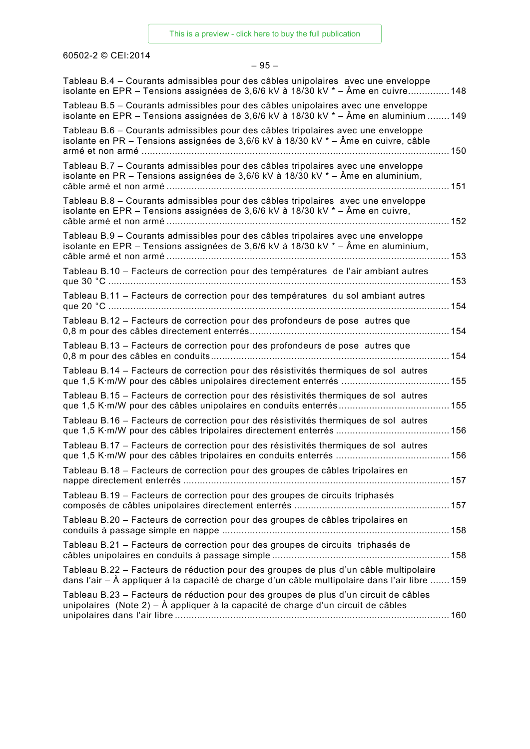### – 95 –

| Tableau B.4 – Courants admissibles pour des câbles unipolaires avec une enveloppe<br>isolante en EPR – Tensions assignées de 3,6/6 kV à 18/30 kV * – Âme en cuivre 148                  |      |
|-----------------------------------------------------------------------------------------------------------------------------------------------------------------------------------------|------|
| Tableau B.5 – Courants admissibles pour des câbles unipolaires avec une enveloppe<br>isolante en EPR – Tensions assignées de 3,6/6 kV à 18/30 kV * – Âme en aluminium  149              |      |
| Tableau B.6 – Courants admissibles pour des câbles tripolaires avec une enveloppe<br>isolante en PR – Tensions assignées de 3,6/6 kV à 18/30 kV * – Âme en cuivre, câble                |      |
| Tableau B.7 - Courants admissibles pour des câbles tripolaires avec une enveloppe<br>isolante en PR – Tensions assignées de 3,6/6 kV à 18/30 kV * – Âme en aluminium,                   |      |
| Tableau B.8 - Courants admissibles pour des câbles tripolaires avec une enveloppe<br>isolante en EPR – Tensions assignées de 3,6/6 kV à 18/30 kV $*$ – Âme en cuivre,                   | .152 |
| Tableau B.9 – Courants admissibles pour des câbles tripolaires avec une enveloppe<br>isolante en EPR – Tensions assignées de 3,6/6 kV à 18/30 kV * – Âme en aluminium,                  | 153  |
| Tableau B.10 - Facteurs de correction pour des températures de l'air ambiant autres                                                                                                     |      |
| Tableau B.11 - Facteurs de correction pour des températures du sol ambiant autres                                                                                                       |      |
| Tableau B.12 - Facteurs de correction pour des profondeurs de pose autres que                                                                                                           |      |
| Tableau B.13 - Facteurs de correction pour des profondeurs de pose autres que                                                                                                           |      |
| Tableau B.14 - Facteurs de correction pour des résistivités thermiques de sol autres                                                                                                    |      |
| Tableau B.15 – Facteurs de correction pour des résistivités thermiques de sol autres                                                                                                    | 155  |
| Tableau B.16 – Facteurs de correction pour des résistivités thermiques de sol autres                                                                                                    |      |
| Tableau B.17 – Facteurs de correction pour des résistivités thermiques de sol autres                                                                                                    |      |
| Tableau B.18 - Facteurs de correction pour des groupes de câbles tripolaires en                                                                                                         |      |
| Tableau B.19 - Facteurs de correction pour des groupes de circuits triphasés                                                                                                            |      |
| Tableau B.20 - Facteurs de correction pour des groupes de câbles tripolaires en                                                                                                         |      |
| Tableau B.21 – Facteurs de correction pour des groupes de circuits triphasés de                                                                                                         |      |
| Tableau B.22 - Facteurs de réduction pour des groupes de plus d'un câble multipolaire<br>dans l'air – À appliquer à la capacité de charge d'un câble multipolaire dans l'air libre  159 |      |
| Tableau B.23 - Facteurs de réduction pour des groupes de plus d'un circuit de câbles<br>unipolaires (Note 2) – À appliquer à la capacité de charge d'un circuit de câbles               |      |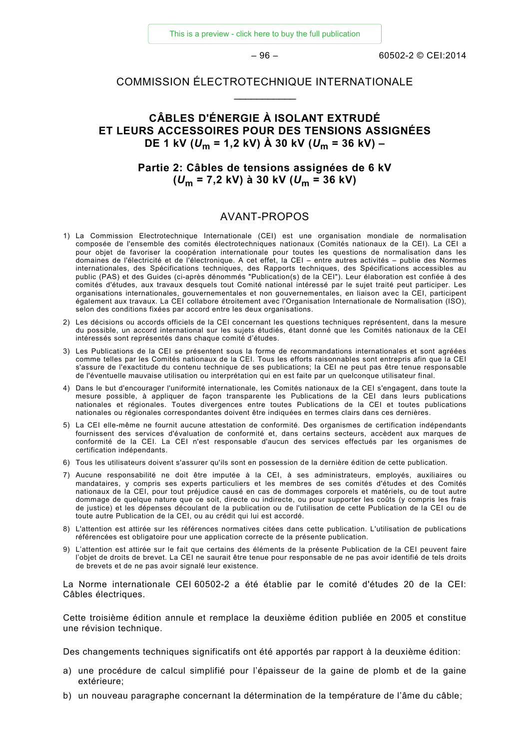[This is a preview - click here to buy the full publication](https://webstore.iec.ch/publication/2272&preview=1)

 $-96 -$  60502-2 © CEI:2014

### COMMISSION ÉLECTROTECHNIQUE INTERNATIONALE  $\overline{\phantom{a}}$

### **CÂBLES D'ÉNERGIE À ISOLANT EXTRUDÉ ET LEURS ACCESSOIRES POUR DES TENSIONS ASSIGNÉES DE 1 kV (***U***<sup>m</sup> = 1,2 kV) À 30 kV (***U***<sup>m</sup> = 36 kV) –**

### **Partie 2: Câbles de tensions assignées de 6 kV (***U***<sup>m</sup> = 7,2 kV) à 30 kV (***U***<sup>m</sup> = 36 kV)**

### AVANT-PROPOS

- <span id="page-22-0"></span>1) La Commission Electrotechnique Internationale (CEI) est une organisation mondiale de normalisation composée de l'ensemble des comités électrotechniques nationaux (Comités nationaux de la CEI). La CEI a pour objet de favoriser la coopération internationale pour toutes les questions de normalisation dans les domaines de l'électricité et de l'électronique. A cet effet, la CEI – entre autres activités – publie des Normes internationales, des Spécifications techniques, des Rapports techniques, des Spécifications accessibles au public (PAS) et des Guides (ci-après dénommés "Publication(s) de la CEI"). Leur élaboration est confiée à des comités d'études, aux travaux desquels tout Comité national intéressé par le sujet traité peut participer. Les organisations internationales, gouvernementales et non gouvernementales, en liaison avec la CEI, participent également aux travaux. La CEI collabore étroitement avec l'Organisation Internationale de Normalisation (ISO), selon des conditions fixées par accord entre les deux organisations.
- 2) Les décisions ou accords officiels de la CEI concernant les questions techniques représentent, dans la mesure du possible, un accord international sur les sujets étudiés, étant donné que les Comités nationaux de la CEI intéressés sont représentés dans chaque comité d'études.
- 3) Les Publications de la CEI se présentent sous la forme de recommandations internationales et sont agréées comme telles par les Comités nationaux de la CEI. Tous les efforts raisonnables sont entrepris afin que la CEI s'assure de l'exactitude du contenu technique de ses publications; la CEI ne peut pas être tenue responsable de l'éventuelle mauvaise utilisation ou interprétation qui en est faite par un quelconque utilisateur final.
- 4) Dans le but d'encourager l'uniformité internationale, les Comités nationaux de la CEI s'engagent, dans toute la mesure possible, à appliquer de façon transparente les Publications de la CEI dans leurs publications nationales et régionales. Toutes divergences entre toutes Publications de la CEI et toutes publications nationales ou régionales correspondantes doivent être indiquées en termes clairs dans ces dernières.
- 5) La CEI elle-même ne fournit aucune attestation de conformité. Des organismes de certification indépendants fournissent des services d'évaluation de conformité et, dans certains secteurs, accèdent aux marques de conformité de la CEI. La CEI n'est responsable d'aucun des services effectués par les organismes de certification indépendants.
- 6) Tous les utilisateurs doivent s'assurer qu'ils sont en possession de la dernière édition de cette publication.
- 7) Aucune responsabilité ne doit être imputée à la CEI, à ses administrateurs, employés, auxiliaires ou mandataires, y compris ses experts particuliers et les membres de ses comités d'études et des Comités nationaux de la CEI, pour tout préjudice causé en cas de dommages corporels et matériels, ou de tout autre dommage de quelque nature que ce soit, directe ou indirecte, ou pour supporter les coûts (y compris les frais de justice) et les dépenses découlant de la publication ou de l'utilisation de cette Publication de la CEI ou de toute autre Publication de la CEI, ou au crédit qui lui est accordé.
- 8) L'attention est attirée sur les références normatives citées dans cette publication. L'utilisation de publications référencées est obligatoire pour une application correcte de la présente publication.
- 9) L'attention est attirée sur le fait que certains des éléments de la présente Publication de la CEI peuvent faire l'objet de droits de brevet. La CEI ne saurait être tenue pour responsable de ne pas avoir identifié de tels droits de brevets et de ne pas avoir signalé leur existence.

La Norme internationale CEI 60502-2 a été établie par le comité d'études 20 de la CEI: Câbles électriques.

Cette troisième édition annule et remplace la deuxième édition publiée en 2005 et constitue une révision technique.

Des changements techniques significatifs ont été apportés par rapport à la deuxième édition:

- a) une procédure de calcul simplifié pour l'épaisseur de la gaine de plomb et de la gaine extérieure;
- b) un nouveau paragraphe concernant la détermination de la température de l'âme du câble;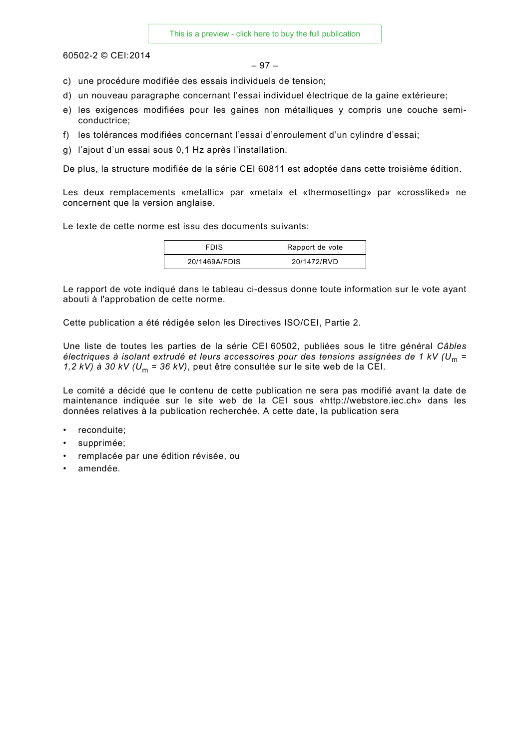$$
-97-
$$

- c) une procédure modifiée des essais individuels de tension;
- d) un nouveau paragraphe concernant l'essai individuel électrique de la gaine extérieure;
- e) les exigences modifiées pour les gaines non métalliques y compris une couche semiconductrice;
- f) les tolérances modifiées concernant l'essai d'enroulement d'un cylindre d'essai;
- g) l'ajout d'un essai sous 0,1 Hz après l'installation.

De plus, la structure modifiée de la série CEI 60811 est adoptée dans cette troisième édition.

Les deux remplacements «metallic» par «metal» et «thermosetting» par «crossliked» ne concernent que la version anglaise.

Le texte de cette norme est issu des documents suivants:

| <b>FDIS</b>   | Rapport de vote |
|---------------|-----------------|
| 20/1469A/FDIS | 20/1472/RVD     |

Le rapport de vote indiqué dans le tableau ci-dessus donne toute information sur le vote ayant abouti à l'approbation de cette norme.

Cette publication a été rédigée selon les Directives ISO/CEI, Partie 2.

Une liste de toutes les parties de la série CEI 60502, publiées sous le titre général *Câbles électriques à isolant extrudé et leurs accessoires pour des tensions assignées de 1 kV (U*<sup>m</sup> *= 1,2 kV) à 30 kV (U*<sup>m</sup> *= 36 kV)*, peut être consultée sur le site web de la CEI.

Le comité a décidé que le contenu de cette publication ne sera pas modifié avant la date de maintenance indiquée sur le site web de la CEI sous «http://webstore.iec.ch» dans les données relatives à la publication recherchée. A cette date, la publication sera

- reconduite;
- supprimée;
- remplacée par une édition révisée, ou
- amendée.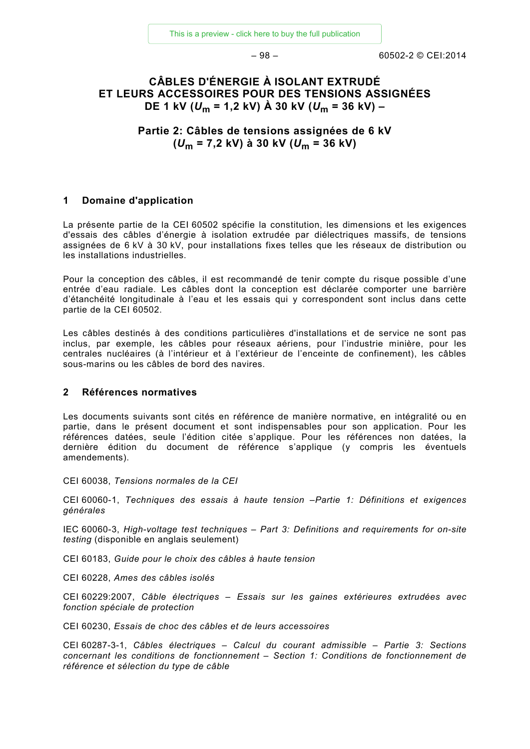$-98 - 60502 - 2 \odot \text{CE}1:2014$ 

### **CÂBLES D'ÉNERGIE À ISOLANT EXTRUDÉ ET LEURS ACCESSOIRES POUR DES TENSIONS ASSIGNÉES DE 1 kV (***U***<sup>m</sup> = 1,2 kV) À 30 kV (***U***<sup>m</sup> = 36 kV) –**

**Partie 2: Câbles de tensions assignées de 6 kV (***U***<sup>m</sup> = 7,2 kV) à 30 kV (***U***<sup>m</sup> = 36 kV)**

### <span id="page-24-0"></span>**1 Domaine d'application**

La présente partie de la CEI 60502 spécifie la constitution, les dimensions et les exigences d'essais des câbles d'énergie à isolation extrudée par diélectriques massifs, de tensions assignées de 6 kV à 30 kV, pour installations fixes telles que les réseaux de distribution ou les installations industrielles.

Pour la conception des câbles, il est recommandé de tenir compte du risque possible d'une entrée d'eau radiale. Les câbles dont la conception est déclarée comporter une barrière d'étanchéité longitudinale à l'eau et les essais qui y correspondent sont inclus dans cette partie de la CEI 60502.

Les câbles destinés à des conditions particulières d'installations et de service ne sont pas inclus, par exemple, les câbles pour réseaux aériens, pour l'industrie minière, pour les centrales nucléaires (à l'intérieur et à l'extérieur de l'enceinte de confinement), les câbles sous-marins ou les câbles de bord des navires.

### <span id="page-24-1"></span>**2 Références normatives**

Les documents suivants sont cités en référence de manière normative, en intégralité ou en partie, dans le présent document et sont indispensables pour son application. Pour les références datées, seule l'édition citée s'applique. Pour les références non datées, la dernière édition du document de référence s'applique (y compris les éventuels amendements).

CEI 60038, *Tensions normales de la CEI*

CEI 60060-1, *Techniques des essais à haute tension –Partie 1: Définitions et exigences générales*

IEC 60060-3, *High-voltage test techniques – Part 3: Definitions and requirements for on-site testing* (disponible en anglais seulement)

CEI 60183, *Guide pour le choix des câbles à haute tension*

CEI 60228, *Ames des câbles isolés*

CEI 60229:2007, *Câble électriques – Essais sur les gaines extérieures extrudées avec fonction spéciale de protection*

CEI 60230, *Essais de choc des câbles et de leurs accessoires*

CEI 60287-3-1, *Câbles électriques – Calcul du courant admissible – Partie 3: Sections concernant les conditions de fonctionnement – Section 1: Conditions de fonctionnement de référence et sélection du type de câble*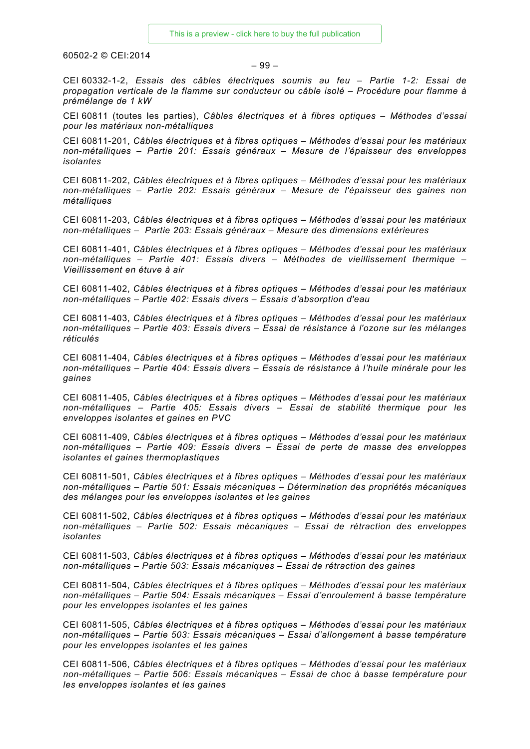### – 99 –

CEI 60332-1-2, *Essais des câbles électriques soumis au feu – Partie 1-2: Essai de propagation verticale de la flamme sur conducteur ou câble isolé – Procédure pour flamme à prémélange de 1 kW*

CEI 60811 (toutes les parties), *Câbles électriques et à fibres optiques – Méthodes d'essai pour les matériaux non-métalliques* 

CEI 60811-201, *Câbles électriques et à fibres optiques – Méthodes d'essai pour les matériaux non-métalliques – Partie 201: Essais généraux – Mesure de l'épaisseur des enveloppes isolantes* 

CEI 60811-202, *Câbles électriques et à fibres optiques – Méthodes d'essai pour les matériaux non-métalliques – Partie 202: Essais généraux – Mesure de l'épaisseur des gaines non métalliques*

CEI 60811-203, *Câbles électriques et à fibres optiques – Méthodes d'essai pour les matériaux non-métalliques – Partie 203: Essais généraux – Mesure des dimensions extérieures*

CEI 60811-401, *Câbles électriques et à fibres optiques – Méthodes d'essai pour les matériaux non-métalliques – Partie 401: Essais divers – Méthodes de vieillissement thermique – Vieillissement en étuve à air*

CEI 60811-402, *Câbles électriques et à fibres optiques – Méthodes d'essai pour les matériaux non-métalliques – Partie 402: Essais divers – Essais d'absorption d'eau*

CEI 60811-403, *Câbles électriques et à fibres optiques – Méthodes d'essai pour les matériaux non-métalliques – Partie 403: Essais divers – Essai de résistance à l'ozone sur les mélanges réticulés*

CEI 60811-404, *Câbles électriques et à fibres optiques – Méthodes d'essai pour les matériaux non-métalliques – Partie 404: Essais divers – Essais de résistance à l'huile minérale pour les gaines*

CEI 60811-405, *Câbles électriques et à fibres optiques – Méthodes d'essai pour les matériaux non-métalliques – Partie 405: Essais divers – Essai de stabilité thermique pour les enveloppes isolantes et gaines en PVC* 

CEI 60811-409, *Câbles électriques et à fibres optiques – Méthodes d'essai pour les matériaux non-métalliques – Partie 409: Essais divers – Essai de perte de masse des enveloppes isolantes et gaines thermoplastiques*

CEI 60811-501, *Câbles électriques et à fibres optiques – Méthodes d'essai pour les matériaux non-métalliques – Partie 501: Essais mécaniques – Détermination des propriétés mécaniques des mélanges pour les enveloppes isolantes et les gaines*

CEI 60811-502, *Câbles électriques et à fibres optiques – Méthodes d'essai pour les matériaux non-métalliques – Partie 502: Essais mécaniques – Essai de rétraction des enveloppes isolantes*

CEI 60811-503, *Câbles électriques et à fibres optiques – Méthodes d'essai pour les matériaux non-métalliques – Partie 503: Essais mécaniques – Essai de rétraction des gaines*

CEI 60811-504, *Câbles électriques et à fibres optiques – Méthodes d'essai pour les matériaux non-métalliques – Partie 504: Essais mécaniques – Essai d'enroulement à basse température pour les enveloppes isolantes et les gaines*

CEI 60811-505, *Câbles électriques et à fibres optiques – Méthodes d'essai pour les matériaux non-métalliques – Partie 503: Essais mécaniques – Essai d'allongement à basse température pour les enveloppes isolantes et les gaines*

CEI 60811-506, *Câbles électriques et à fibres optiques – Méthodes d'essai pour les matériaux non-métalliques – Partie 506: Essais mécaniques – Essai de choc à basse température pour les enveloppes isolantes et les gaines*